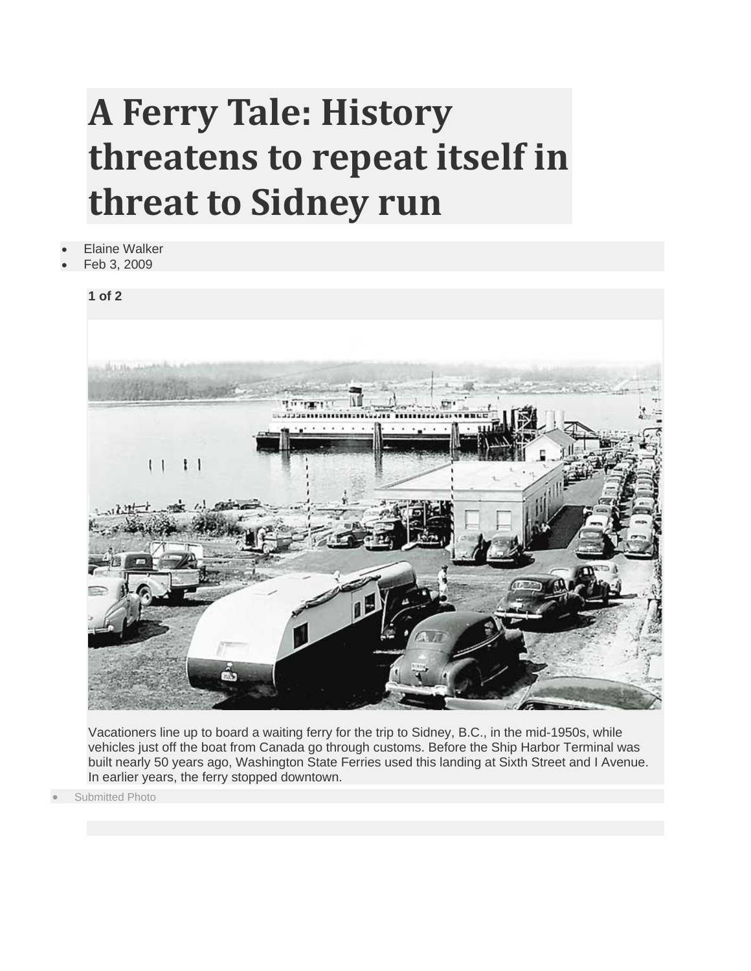## **A Ferry Tale: History threatens to repeat itself in threat to Sidney run**

- **Elaine Walker**
- Feb 3, 2009



Vacationers line up to board a waiting ferry for the trip to Sidney, B.C., in the mid-1950s, while vehicles just off the boat from Canada go through customs. Before the Ship Harbor Terminal was built nearly 50 years ago, Washington State Ferries used this landing at Sixth Street and I Avenue. In earlier years, the ferry stopped downtown.

Submitted Photo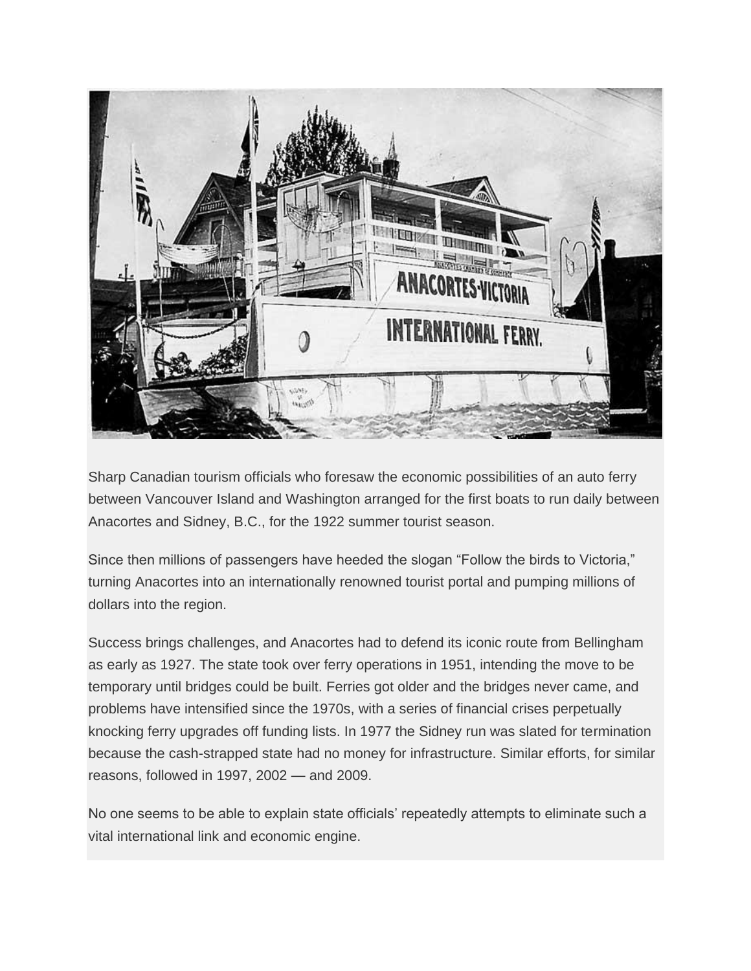

Sharp Canadian tourism officials who foresaw the economic possibilities of an auto ferry between Vancouver Island and Washington arranged for the first boats to run daily between Anacortes and Sidney, B.C., for the 1922 summer tourist season.

Since then millions of passengers have heeded the slogan "Follow the birds to Victoria," turning Anacortes into an internationally renowned tourist portal and pumping millions of dollars into the region.

Success brings challenges, and Anacortes had to defend its iconic route from Bellingham as early as 1927. The state took over ferry operations in 1951, intending the move to be temporary until bridges could be built. Ferries got older and the bridges never came, and problems have intensified since the 1970s, with a series of financial crises perpetually knocking ferry upgrades off funding lists. In 1977 the Sidney run was slated for termination because the cash-strapped state had no money for infrastructure. Similar efforts, for similar reasons, followed in 1997, 2002 — and 2009.

No one seems to be able to explain state officials' repeatedly attempts to eliminate such a vital international link and economic engine.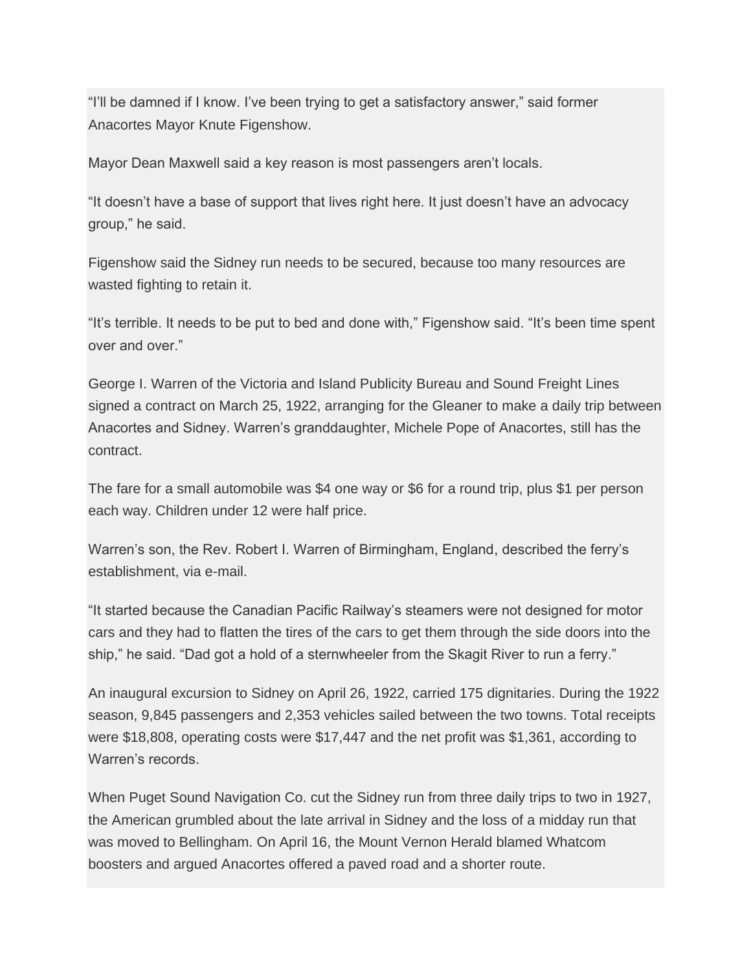"I'll be damned if I know. I've been trying to get a satisfactory answer," said former Anacortes Mayor Knute Figenshow.

Mayor Dean Maxwell said a key reason is most passengers aren't locals.

"It doesn't have a base of support that lives right here. It just doesn't have an advocacy group," he said.

Figenshow said the Sidney run needs to be secured, because too many resources are wasted fighting to retain it.

"It's terrible. It needs to be put to bed and done with," Figenshow said. "It's been time spent over and over."

George I. Warren of the Victoria and Island Publicity Bureau and Sound Freight Lines signed a contract on March 25, 1922, arranging for the Gleaner to make a daily trip between Anacortes and Sidney. Warren's granddaughter, Michele Pope of Anacortes, still has the contract.

The fare for a small automobile was \$4 one way or \$6 for a round trip, plus \$1 per person each way. Children under 12 were half price.

Warren's son, the Rev. Robert I. Warren of Birmingham, England, described the ferry's establishment, via e-mail.

"It started because the Canadian Pacific Railway's steamers were not designed for motor cars and they had to flatten the tires of the cars to get them through the side doors into the ship," he said. "Dad got a hold of a sternwheeler from the Skagit River to run a ferry."

An inaugural excursion to Sidney on April 26, 1922, carried 175 dignitaries. During the 1922 season, 9,845 passengers and 2,353 vehicles sailed between the two towns. Total receipts were \$18,808, operating costs were \$17,447 and the net profit was \$1,361, according to Warren's records.

When Puget Sound Navigation Co. cut the Sidney run from three daily trips to two in 1927, the American grumbled about the late arrival in Sidney and the loss of a midday run that was moved to Bellingham. On April 16, the Mount Vernon Herald blamed Whatcom boosters and argued Anacortes offered a paved road and a shorter route.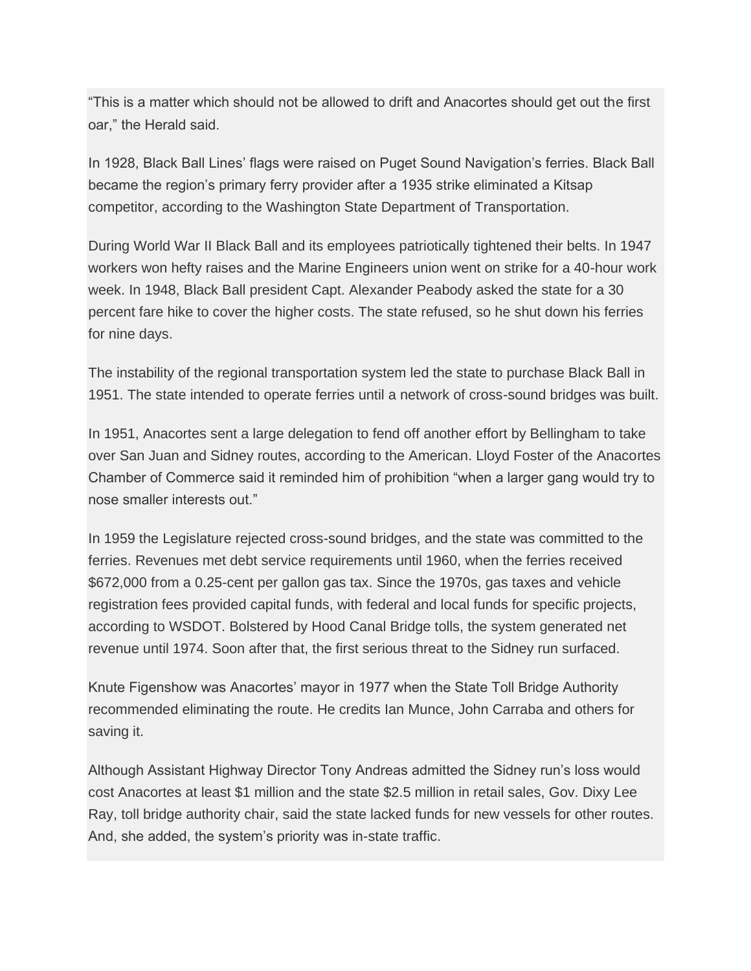"This is a matter which should not be allowed to drift and Anacortes should get out the first oar," the Herald said.

In 1928, Black Ball Lines' flags were raised on Puget Sound Navigation's ferries. Black Ball became the region's primary ferry provider after a 1935 strike eliminated a Kitsap competitor, according to the Washington State Department of Transportation.

During World War II Black Ball and its employees patriotically tightened their belts. In 1947 workers won hefty raises and the Marine Engineers union went on strike for a 40-hour work week. In 1948, Black Ball president Capt. Alexander Peabody asked the state for a 30 percent fare hike to cover the higher costs. The state refused, so he shut down his ferries for nine days.

The instability of the regional transportation system led the state to purchase Black Ball in 1951. The state intended to operate ferries until a network of cross-sound bridges was built.

In 1951, Anacortes sent a large delegation to fend off another effort by Bellingham to take over San Juan and Sidney routes, according to the American. Lloyd Foster of the Anacortes Chamber of Commerce said it reminded him of prohibition "when a larger gang would try to nose smaller interests out."

In 1959 the Legislature rejected cross-sound bridges, and the state was committed to the ferries. Revenues met debt service requirements until 1960, when the ferries received \$672,000 from a 0.25-cent per gallon gas tax. Since the 1970s, gas taxes and vehicle registration fees provided capital funds, with federal and local funds for specific projects, according to WSDOT. Bolstered by Hood Canal Bridge tolls, the system generated net revenue until 1974. Soon after that, the first serious threat to the Sidney run surfaced.

Knute Figenshow was Anacortes' mayor in 1977 when the State Toll Bridge Authority recommended eliminating the route. He credits Ian Munce, John Carraba and others for saving it.

Although Assistant Highway Director Tony Andreas admitted the Sidney run's loss would cost Anacortes at least \$1 million and the state \$2.5 million in retail sales, Gov. Dixy Lee Ray, toll bridge authority chair, said the state lacked funds for new vessels for other routes. And, she added, the system's priority was in-state traffic.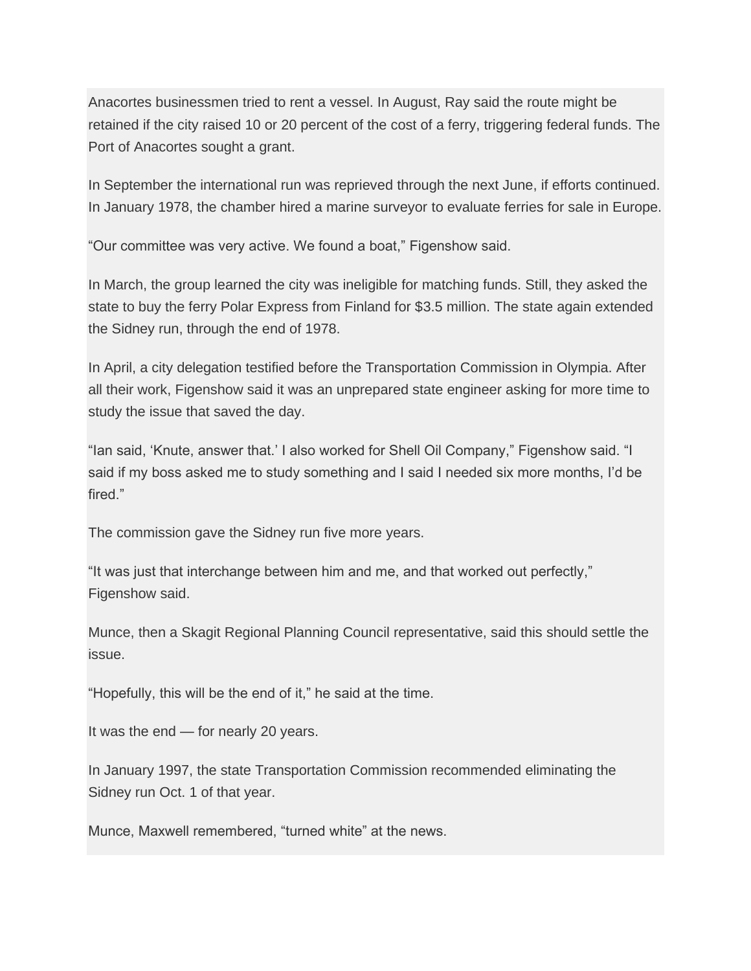Anacortes businessmen tried to rent a vessel. In August, Ray said the route might be retained if the city raised 10 or 20 percent of the cost of a ferry, triggering federal funds. The Port of Anacortes sought a grant.

In September the international run was reprieved through the next June, if efforts continued. In January 1978, the chamber hired a marine surveyor to evaluate ferries for sale in Europe.

"Our committee was very active. We found a boat," Figenshow said.

In March, the group learned the city was ineligible for matching funds. Still, they asked the state to buy the ferry Polar Express from Finland for \$3.5 million. The state again extended the Sidney run, through the end of 1978.

In April, a city delegation testified before the Transportation Commission in Olympia. After all their work, Figenshow said it was an unprepared state engineer asking for more time to study the issue that saved the day.

"Ian said, 'Knute, answer that.' I also worked for Shell Oil Company," Figenshow said. "I said if my boss asked me to study something and I said I needed six more months, I'd be fired."

The commission gave the Sidney run five more years.

"It was just that interchange between him and me, and that worked out perfectly," Figenshow said.

Munce, then a Skagit Regional Planning Council representative, said this should settle the issue.

"Hopefully, this will be the end of it," he said at the time.

It was the end — for nearly 20 years.

In January 1997, the state Transportation Commission recommended eliminating the Sidney run Oct. 1 of that year.

Munce, Maxwell remembered, "turned white" at the news.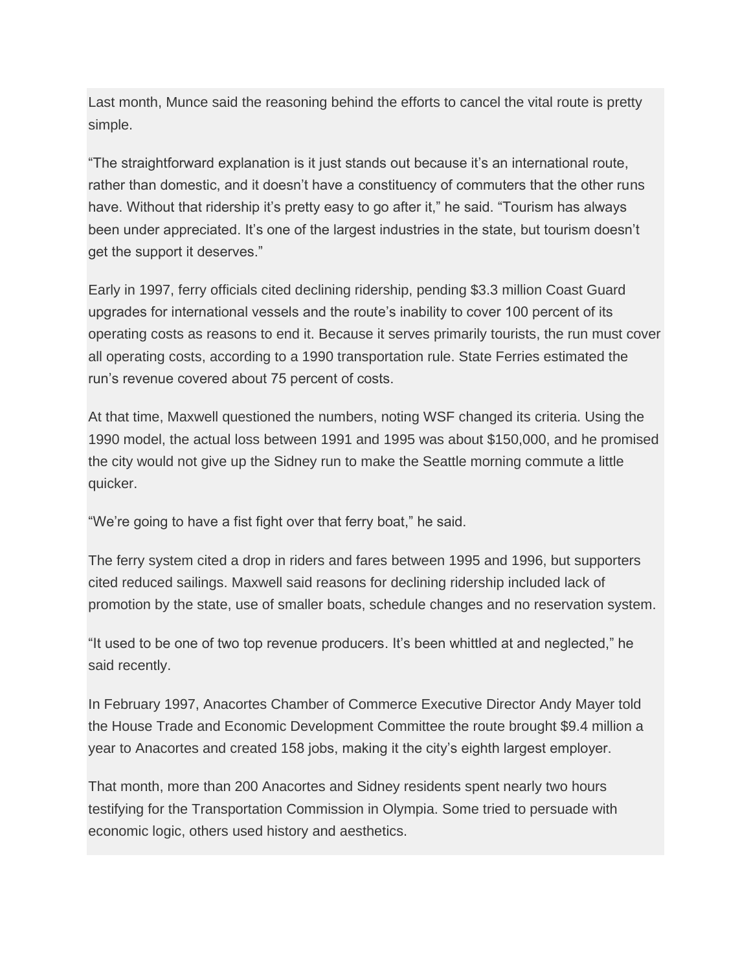Last month, Munce said the reasoning behind the efforts to cancel the vital route is pretty simple.

"The straightforward explanation is it just stands out because it's an international route, rather than domestic, and it doesn't have a constituency of commuters that the other runs have. Without that ridership it's pretty easy to go after it," he said. "Tourism has always been under appreciated. It's one of the largest industries in the state, but tourism doesn't get the support it deserves."

Early in 1997, ferry officials cited declining ridership, pending \$3.3 million Coast Guard upgrades for international vessels and the route's inability to cover 100 percent of its operating costs as reasons to end it. Because it serves primarily tourists, the run must cover all operating costs, according to a 1990 transportation rule. State Ferries estimated the run's revenue covered about 75 percent of costs.

At that time, Maxwell questioned the numbers, noting WSF changed its criteria. Using the 1990 model, the actual loss between 1991 and 1995 was about \$150,000, and he promised the city would not give up the Sidney run to make the Seattle morning commute a little quicker.

"We're going to have a fist fight over that ferry boat," he said.

The ferry system cited a drop in riders and fares between 1995 and 1996, but supporters cited reduced sailings. Maxwell said reasons for declining ridership included lack of promotion by the state, use of smaller boats, schedule changes and no reservation system.

"It used to be one of two top revenue producers. It's been whittled at and neglected," he said recently.

In February 1997, Anacortes Chamber of Commerce Executive Director Andy Mayer told the House Trade and Economic Development Committee the route brought \$9.4 million a year to Anacortes and created 158 jobs, making it the city's eighth largest employer.

That month, more than 200 Anacortes and Sidney residents spent nearly two hours testifying for the Transportation Commission in Olympia. Some tried to persuade with economic logic, others used history and aesthetics.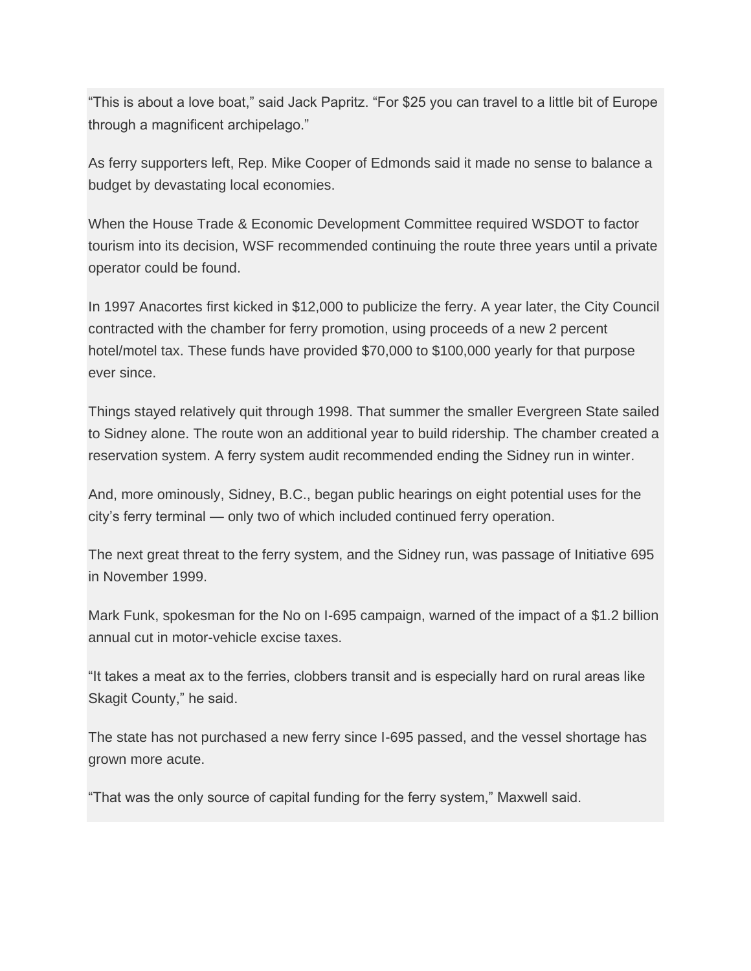"This is about a love boat," said Jack Papritz. "For \$25 you can travel to a little bit of Europe through a magnificent archipelago."

As ferry supporters left, Rep. Mike Cooper of Edmonds said it made no sense to balance a budget by devastating local economies.

When the House Trade & Economic Development Committee required WSDOT to factor tourism into its decision, WSF recommended continuing the route three years until a private operator could be found.

In 1997 Anacortes first kicked in \$12,000 to publicize the ferry. A year later, the City Council contracted with the chamber for ferry promotion, using proceeds of a new 2 percent hotel/motel tax. These funds have provided \$70,000 to \$100,000 yearly for that purpose ever since.

Things stayed relatively quit through 1998. That summer the smaller Evergreen State sailed to Sidney alone. The route won an additional year to build ridership. The chamber created a reservation system. A ferry system audit recommended ending the Sidney run in winter.

And, more ominously, Sidney, B.C., began public hearings on eight potential uses for the city's ferry terminal — only two of which included continued ferry operation.

The next great threat to the ferry system, and the Sidney run, was passage of Initiative 695 in November 1999.

Mark Funk, spokesman for the No on I-695 campaign, warned of the impact of a \$1.2 billion annual cut in motor-vehicle excise taxes.

"It takes a meat ax to the ferries, clobbers transit and is especially hard on rural areas like Skagit County," he said.

The state has not purchased a new ferry since I-695 passed, and the vessel shortage has grown more acute.

"That was the only source of capital funding for the ferry system," Maxwell said.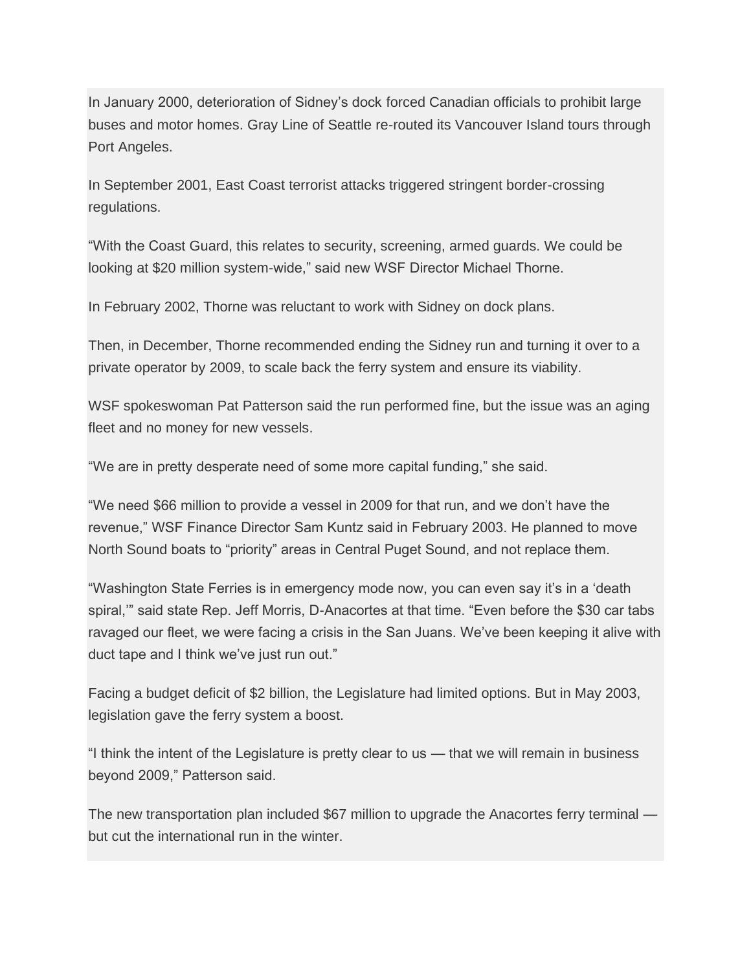In January 2000, deterioration of Sidney's dock forced Canadian officials to prohibit large buses and motor homes. Gray Line of Seattle re-routed its Vancouver Island tours through Port Angeles.

In September 2001, East Coast terrorist attacks triggered stringent border-crossing regulations.

"With the Coast Guard, this relates to security, screening, armed guards. We could be looking at \$20 million system-wide," said new WSF Director Michael Thorne.

In February 2002, Thorne was reluctant to work with Sidney on dock plans.

Then, in December, Thorne recommended ending the Sidney run and turning it over to a private operator by 2009, to scale back the ferry system and ensure its viability.

WSF spokeswoman Pat Patterson said the run performed fine, but the issue was an aging fleet and no money for new vessels.

"We are in pretty desperate need of some more capital funding," she said.

"We need \$66 million to provide a vessel in 2009 for that run, and we don't have the revenue," WSF Finance Director Sam Kuntz said in February 2003. He planned to move North Sound boats to "priority" areas in Central Puget Sound, and not replace them.

"Washington State Ferries is in emergency mode now, you can even say it's in a 'death spiral,'" said state Rep. Jeff Morris, D-Anacortes at that time. "Even before the \$30 car tabs ravaged our fleet, we were facing a crisis in the San Juans. We've been keeping it alive with duct tape and I think we've just run out."

Facing a budget deficit of \$2 billion, the Legislature had limited options. But in May 2003, legislation gave the ferry system a boost.

"I think the intent of the Legislature is pretty clear to us — that we will remain in business beyond 2009," Patterson said.

The new transportation plan included \$67 million to upgrade the Anacortes ferry terminal but cut the international run in the winter.